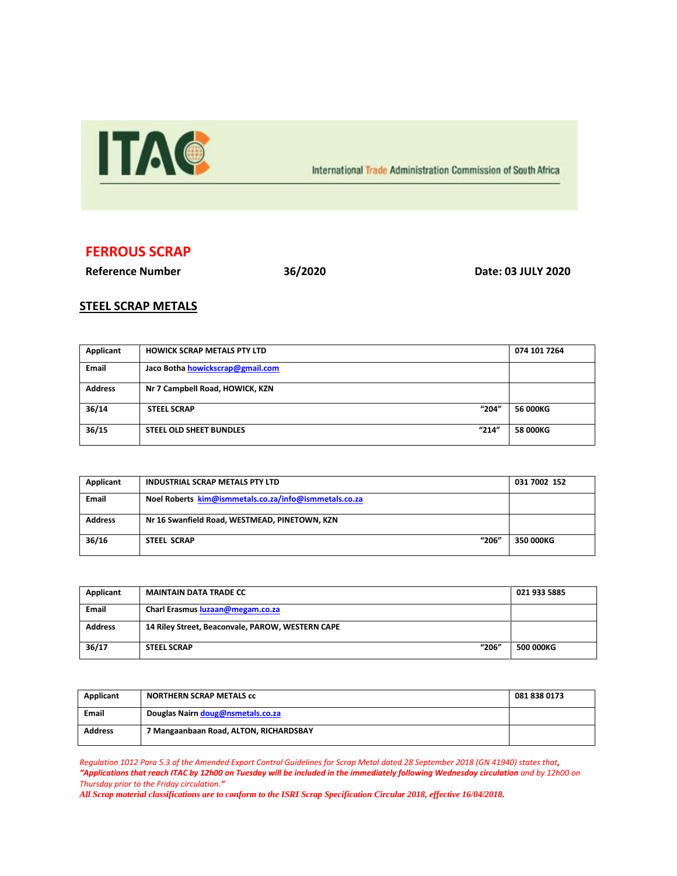

International Trade Administration Commission of South Africa

## **FERROUS SCRAP**

**Reference Number 36/2020 Date: 03 JULY 2020**

## **STEEL SCRAP METALS**

| Applicant      | <b>HOWICK SCRAP METALS PTY LTD</b>      | 074 101 7264 |
|----------------|-----------------------------------------|--------------|
| <b>Email</b>   | Jaco Botha howickscrap@gmail.com        |              |
| <b>Address</b> | Nr 7 Campbell Road, HOWICK, KZN         |              |
| 36/14          | "204"<br><b>STEEL SCRAP</b>             | 56 000KG     |
| 36/15          | "214"<br><b>STEEL OLD SHEET BUNDLES</b> | 58 000KG     |

| Applicant      | <b>INDUSTRIAL SCRAP METALS PTY LTD</b>                | 031 7002 152 |
|----------------|-------------------------------------------------------|--------------|
| <b>Email</b>   | Noel Roberts kim@ismmetals.co.za/info@ismmetals.co.za |              |
| <b>Address</b> | Nr 16 Swanfield Road, WESTMEAD, PINETOWN, KZN         |              |
| 36/16          | "206"<br><b>STEEL SCRAP</b>                           | 350 000KG    |

| Applicant      | <b>MAINTAIN DATA TRADE CC</b>                    | 021 933 5885     |
|----------------|--------------------------------------------------|------------------|
| <b>Email</b>   | Charl Erasmus luzaan@megam.co.za                 |                  |
| <b>Address</b> | 14 Riley Street, Beaconvale, PAROW, WESTERN CAPE |                  |
| 36/17          | "206"<br><b>STEEL SCRAP</b>                      | <b>500 000KG</b> |

| Applicant      | <b>NORTHERN SCRAP METALS CC</b>        | 081 838 0173 |
|----------------|----------------------------------------|--------------|
| <b>Email</b>   | Douglas Nairn doug@nsmetals.co.za      |              |
| <b>Address</b> | 7 Mangaanbaan Road, ALTON, RICHARDSBAY |              |

*Regulation 1012 Para 5.3 of the Amended Export Control Guidelines for Scrap Metal dated 28 September 2018 (GN 41940) states that, "Applications that reach ITAC by 12h00 on Tuesday will be included in the immediately following Wednesday circulation and by 12h00 on Thursday prior to the Friday circulation."*

*All Scrap material classifications are to conform to the ISRI Scrap Specification Circular 2018, effective 16/04/2018.*